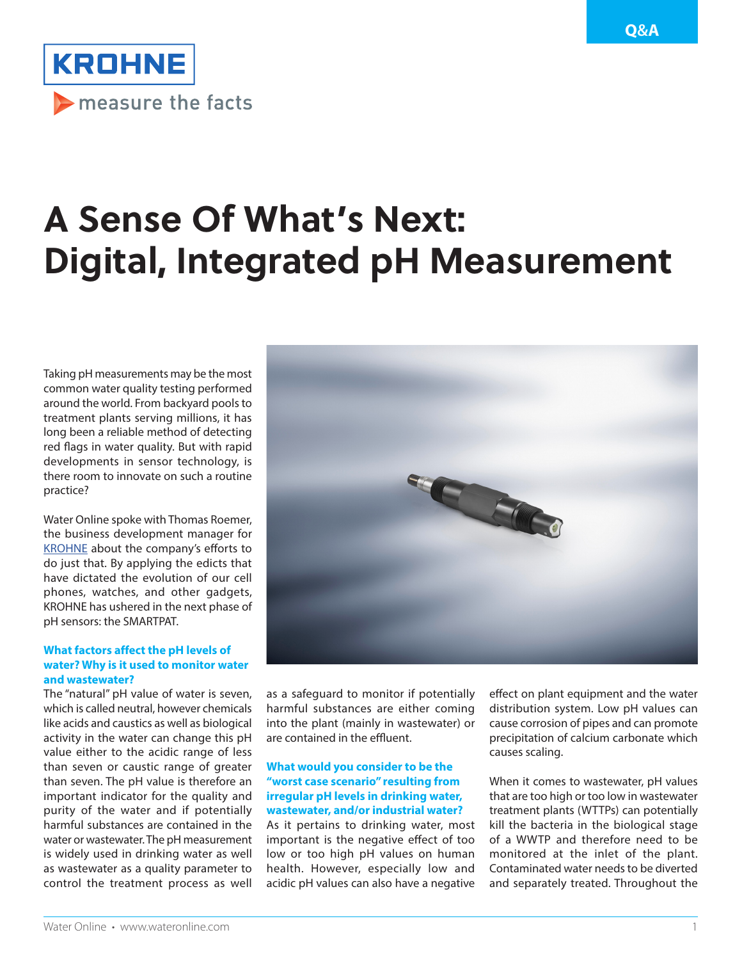

# **A Sense Of What's Next: Digital, Integrated pH Measurement**

Taking pH measurements may be the most common water quality testing performed around the world. From backyard pools to treatment plants serving millions, it has long been a reliable method of detecting red flags in water quality. But with rapid developments in sensor technology, is there room to innovate on such a routine practice?

Water Online spoke with Thomas Roemer, the business development manager for [KROHNE](http://us.krohne.com/) about the company's efforts to do just that. By applying the edicts that have dictated the evolution of our cell phones, watches, and other gadgets, KROHNE has ushered in the next phase of pH sensors: the SMARTPAT.

## **What factors affect the pH levels of water? Why is it used to monitor water and wastewater?**

The "natural" pH value of water is seven, which is called neutral, however chemicals like acids and caustics as well as biological activity in the water can change this pH value either to the acidic range of less than seven or caustic range of greater than seven. The pH value is therefore an important indicator for the quality and purity of the water and if potentially harmful substances are contained in the water or wastewater. The pH measurement is widely used in drinking water as well as wastewater as a quality parameter to control the treatment process as well



as a safeguard to monitor if potentially harmful substances are either coming into the plant (mainly in wastewater) or are contained in the effluent.

## **What would you consider to be the "worst case scenario" resulting from irregular pH levels in drinking water, wastewater, and/or industrial water?**

As it pertains to drinking water, most important is the negative effect of too low or too high pH values on human health. However, especially low and acidic pH values can also have a negative

effect on plant equipment and the water distribution system. Low pH values can cause corrosion of pipes and can promote precipitation of calcium carbonate which causes scaling.

When it comes to wastewater, pH values that are too high or too low in wastewater treatment plants (WTTPs) can potentially kill the bacteria in the biological stage of a WWTP and therefore need to be monitored at the inlet of the plant. Contaminated water needs to be diverted and separately treated. Throughout the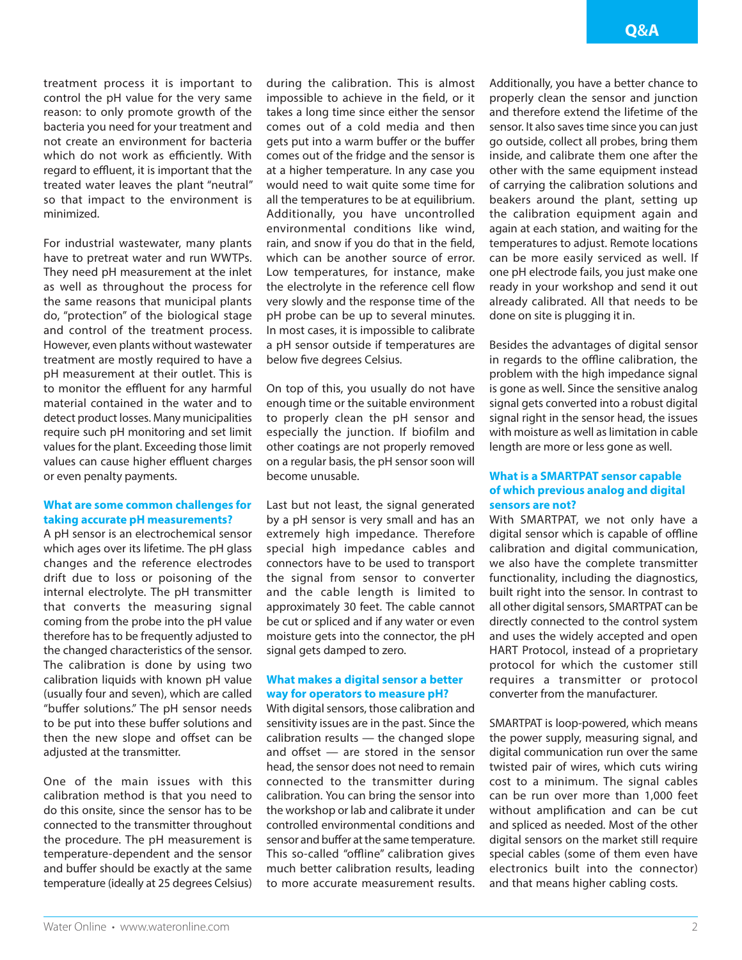treatment process it is important to control the pH value for the very same reason: to only promote growth of the bacteria you need for your treatment and not create an environment for bacteria which do not work as efficiently. With regard to effluent, it is important that the treated water leaves the plant "neutral" so that impact to the environment is minimized.

For industrial wastewater, many plants have to pretreat water and run WWTPs. They need pH measurement at the inlet as well as throughout the process for the same reasons that municipal plants do, "protection" of the biological stage and control of the treatment process. However, even plants without wastewater treatment are mostly required to have a pH measurement at their outlet. This is to monitor the effluent for any harmful material contained in the water and to detect product losses. Many municipalities require such pH monitoring and set limit values for the plant. Exceeding those limit values can cause higher effluent charges or even penalty payments.

## **What are some common challenges for taking accurate pH measurements?**

A pH sensor is an electrochemical sensor which ages over its lifetime. The pH glass changes and the reference electrodes drift due to loss or poisoning of the internal electrolyte. The pH transmitter that converts the measuring signal coming from the probe into the pH value therefore has to be frequently adjusted to the changed characteristics of the sensor. The calibration is done by using two calibration liquids with known pH value (usually four and seven), which are called "buffer solutions." The pH sensor needs to be put into these buffer solutions and then the new slope and offset can be adiusted at the transmitter.

One of the main issues with this calibration method is that you need to do this onsite, since the sensor has to be connected to the transmitter throughout the procedure. The pH measurement is temperature-dependent and the sensor and buffer should be exactly at the same temperature (ideally at 25 degrees Celsius)

during the calibration. This is almost impossible to achieve in the field, or it takes a long time since either the sensor comes out of a cold media and then gets put into a warm buffer or the buffer comes out of the fridge and the sensor is at a higher temperature. In any case you would need to wait quite some time for all the temperatures to be at equilibrium. Additionally, you have uncontrolled environmental conditions like wind, rain, and snow if you do that in the field, which can be another source of error. Low temperatures, for instance, make the electrolyte in the reference cell flow very slowly and the response time of the pH probe can be up to several minutes. In most cases, it is impossible to calibrate a pH sensor outside if temperatures are below five degrees Celsius.

On top of this, you usually do not have enough time or the suitable environment to properly clean the pH sensor and especially the junction. If biofilm and other coatings are not properly removed on a regular basis, the pH sensor soon will become unusable.

Last but not least, the signal generated by a pH sensor is very small and has an extremely high impedance. Therefore special high impedance cables and connectors have to be used to transport the signal from sensor to converter and the cable length is limited to approximately 30 feet. The cable cannot be cut or spliced and if any water or even moisture gets into the connector, the pH signal gets damped to zero.

## **What makes a digital sensor a better way for operators to measure pH?**

With digital sensors, those calibration and sensitivity issues are in the past. Since the calibration results — the changed slope and offset — are stored in the sensor head, the sensor does not need to remain connected to the transmitter during calibration. You can bring the sensor into the workshop or lab and calibrate it under controlled environmental conditions and sensor and buffer at the same temperature. This so-called "offline" calibration gives much better calibration results, leading to more accurate measurement results. Additionally, you have a better chance to properly clean the sensor and junction and therefore extend the lifetime of the sensor. It also saves time since you can just go outside, collect all probes, bring them inside, and calibrate them one after the other with the same equipment instead of carrying the calibration solutions and beakers around the plant, setting up the calibration equipment again and again at each station, and waiting for the temperatures to adjust. Remote locations can be more easily serviced as well. If one pH electrode fails, you just make one ready in your workshop and send it out already calibrated. All that needs to be done on site is plugging it in.

Besides the advantages of digital sensor in regards to the offline calibration, the problem with the high impedance signal is gone as well. Since the sensitive analog signal gets converted into a robust digital signal right in the sensor head, the issues with moisture as well as limitation in cable length are more or less gone as well.

## **What is a SMARTPAT sensor capable of which previous analog and digital sensors are not?**

With SMARTPAT, we not only have a digital sensor which is capable of offline calibration and digital communication, we also have the complete transmitter functionality, including the diagnostics, built right into the sensor. In contrast to all other digital sensors, SMARTPAT can be directly connected to the control system and uses the widely accepted and open HART Protocol, instead of a proprietary protocol for which the customer still requires a transmitter or protocol converter from the manufacturer.

SMARTPAT is loop-powered, which means the power supply, measuring signal, and digital communication run over the same twisted pair of wires, which cuts wiring cost to a minimum. The signal cables can be run over more than 1,000 feet without amplification and can be cut and spliced as needed. Most of the other digital sensors on the market still require special cables (some of them even have electronics built into the connector) and that means higher cabling costs.